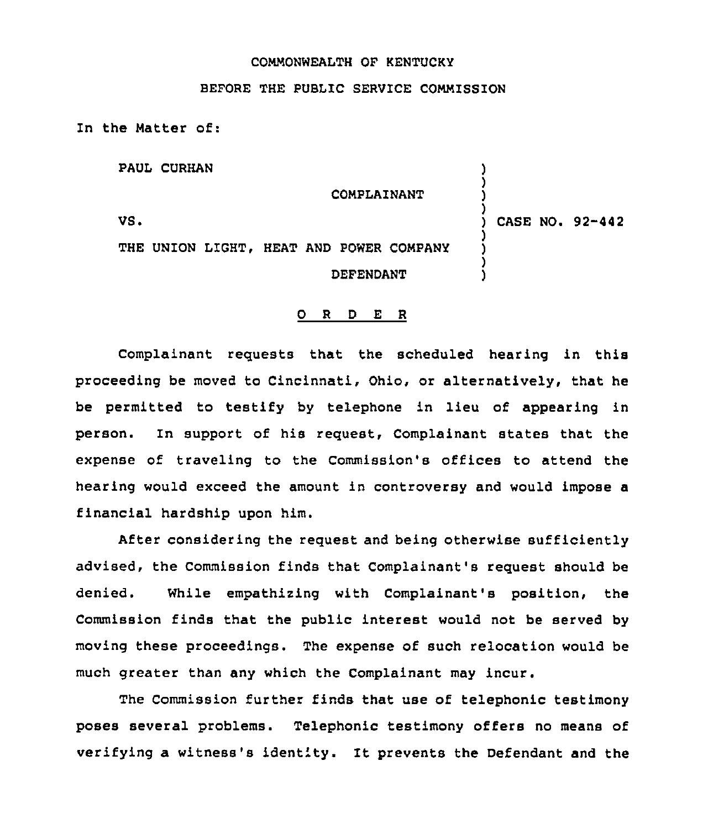## COMMONWEALTH OF KENTUCKY

## BEFORE THE PUBLIC SERVICE COMMISSION

In the Matter of:

PAUL CURHAN

COMPLAINANT

VS <sup>~</sup>

) CASE NO. 92-442

) ) ) )

) ) ) )

THE UNION LIGHT, HEAT AND POWER COMPANY DEFENDANT

## 0 <sup>R</sup> <sup>D</sup> E R

Complainant requests that the scheduled hearing in this proceeding be moved to Cincinnati, Ohio, or alternatively, that he be permitted to testify by telephone in lieu of appearing in person. In support of his request, Complainant states that the expense of traveling to the Commission's offices to attend the hearing would exceed the amount in controversy and would impose a financial hardship upon him.

After considering the request and being otherwise sufficiently advised, the Commission finds that Complainant's request should be denied. While empathizing with Complainant's position, the Commission finds that the public interest would not be served by moving these proceedings. The expense of such relocation would be much greater than any which the Complainant may incur.

The Commission further finds that use of telephonic testimony poses several problems. Telephonic testimony offers no means of verifying a witness's identity. It prevents the Defendant and the